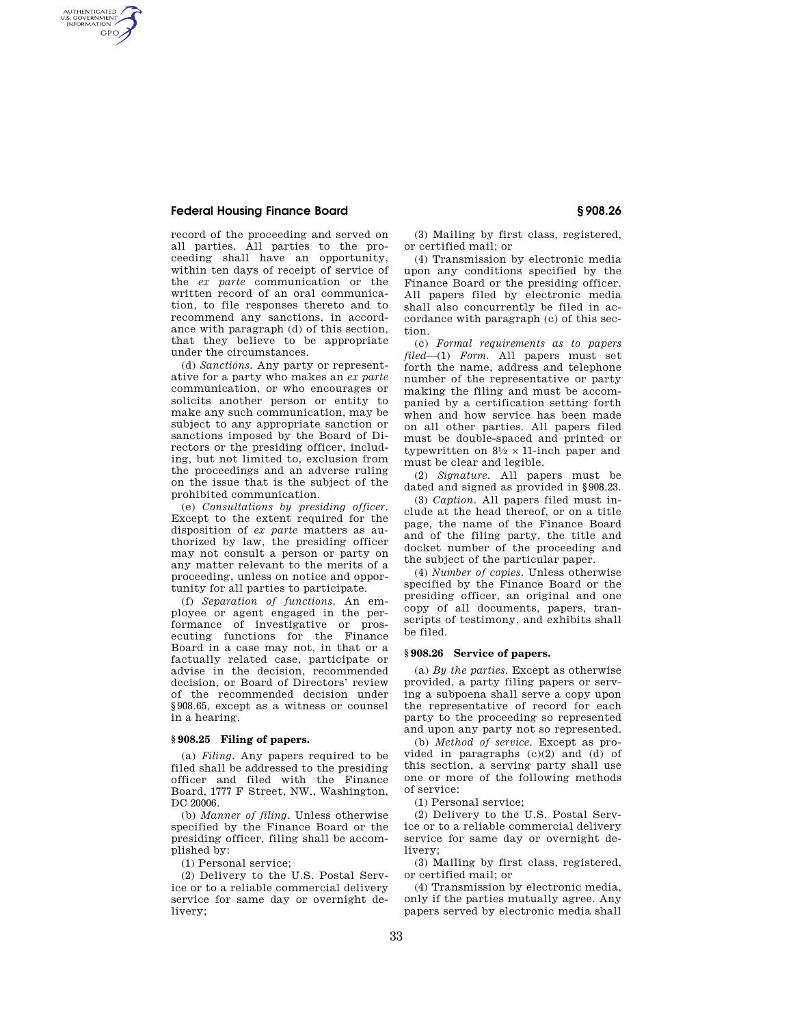## **Federal Housing Finance Board § 908.26**

AUTHENTICATED<br>U.S. GOVERNMENT<br>INFORMATION GPO

> record of the proceeding and served on all parties. All parties to the proceeding shall have an opportunity, within ten days of receipt of service of the *ex parte* communication or the written record of an oral communication, to file responses thereto and to recommend any sanctions, in accordance with paragraph (d) of this section, that they believe to be appropriate under the circumstances.

> (d) *Sanctions.* Any party or representative for a party who makes an *ex parte*  communication, or who encourages or solicits another person or entity to make any such communication, may be subject to any appropriate sanction or sanctions imposed by the Board of Directors or the presiding officer, including, but not limited to, exclusion from the proceedings and an adverse ruling on the issue that is the subject of the prohibited communication.

> (e) *Consultations by presiding officer.*  Except to the extent required for the disposition of *ex parte* matters as authorized by law, the presiding officer may not consult a person or party on any matter relevant to the merits of a proceeding, unless on notice and opportunity for all parties to participate.

> (f) *Separation of functions.* An employee or agent engaged in the performance of investigative or prosecuting functions for the Finance Board in a case may not, in that or a factually related case, participate or advise in the decision, recommended decision, or Board of Directors' review of the recommended decision under §908.65, except as a witness or counsel in a hearing.

#### **§ 908.25 Filing of papers.**

(a) *Filing.* Any papers required to be filed shall be addressed to the presiding officer and filed with the Finance Board, 1777 F Street, NW., Washington, DC 20006.

(b) *Manner of filing.* Unless otherwise specified by the Finance Board or the presiding officer, filing shall be accomplished by:

(1) Personal service;

(2) Delivery to the U.S. Postal Service or to a reliable commercial delivery service for same day or overnight delivery;

(3) Mailing by first class, registered, or certified mail; or

(4) Transmission by electronic media upon any conditions specified by the Finance Board or the presiding officer. All papers filed by electronic media shall also concurrently be filed in accordance with paragraph (c) of this section.

(c) *Formal requirements as to papers filed*—(1) *Form.* All papers must set forth the name, address and telephone number of the representative or party making the filing and must be accompanied by a certification setting forth when and how service has been made on all other parties. All papers filed must be double-spaced and printed or typewritten on  $8\frac{1}{2} \times 11$ -inch paper and must be clear and legible.

(2) *Signature.* All papers must be dated and signed as provided in §908.23.

(3) *Caption.* All papers filed must include at the head thereof, or on a title page, the name of the Finance Board and of the filing party, the title and docket number of the proceeding and the subject of the particular paper.

(4) *Number of copies.* Unless otherwise specified by the Finance Board or the presiding officer, an original and one copy of all documents, papers, transcripts of testimony, and exhibits shall be filed.

#### **§ 908.26 Service of papers.**

(a) *By the parties.* Except as otherwise provided, a party filing papers or serving a subpoena shall serve a copy upon the representative of record for each party to the proceeding so represented and upon any party not so represented.

(b) *Method of service.* Except as provided in paragraphs (c)(2) and (d) of this section, a serving party shall use one or more of the following methods of service:

(1) Personal service;

(2) Delivery to the U.S. Postal Service or to a reliable commercial delivery service for same day or overnight delivery;

(3) Mailing by first class, registered, or certified mail; or

(4) Transmission by electronic media, only if the parties mutually agree. Any papers served by electronic media shall